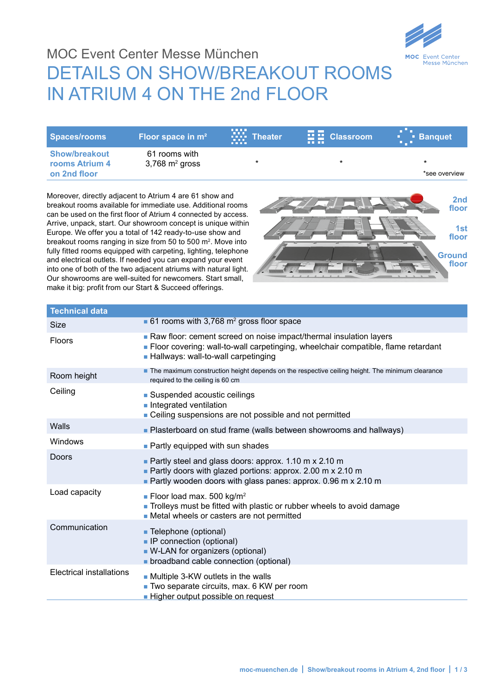

## MOC Event Center Messe München DETAILS ON SHOW/BREAKOUT ROOMS In ATrIuM 4 On THe 2nd FLOOr

| Spaces/rooms                                           | Floor space in m <sup>2</sup>                 | .<br><b>WE</b> Theater<br><b>BRIDE</b> | $\mathbf{E}$ $\mathbf{E}$ Classroom<br><b>TELETIN</b> | a sa<br><b>Banquet</b><br>$\mathbf{B} \subset \mathbf{B}$ . |
|--------------------------------------------------------|-----------------------------------------------|----------------------------------------|-------------------------------------------------------|-------------------------------------------------------------|
| <b>Show/breakout</b><br>rooms Atrium 4<br>on 2nd floor | 61 rooms with<br>$3,768$ m <sup>2</sup> gross | $\star$                                | *                                                     | *see overview                                               |

Moreover, directly adjacent to Atrium 4 are 61 show and breakout rooms available for immediate use. Additional rooms can be used on the first floor of Atrium 4 connected by access. Arrive, unpack, start. Our showroom concept is unique within Europe. We offer you a total of 142 ready-to-use show and breakout rooms ranging in size from 50 to 500 m2. Move into fully fitted rooms equipped with carpeting, lighting, telephone and electrical outlets. If needed you can expand your event into one of both of the two adjacent atriums with natural light. Our showrooms are well-suited for newcomers. Start small, make it big: profit from our Start & Succeed offerings.



| <b>Technical data</b>           |                                                                                                                                                                                                  |
|---------------------------------|--------------------------------------------------------------------------------------------------------------------------------------------------------------------------------------------------|
| <b>Size</b>                     | 61 rooms with 3,768 $m2$ gross floor space                                                                                                                                                       |
| <b>Floors</b>                   | Raw floor: cement screed on noise impact/thermal insulation layers<br>Floor covering: wall-to-wall carpetinging, wheelchair compatible, flame retardant<br>- Hallways: wall-to-wall carpetinging |
| Room height                     | The maximum construction height depends on the respective ceiling height. The minimum clearance<br>required to the ceiling is 60 cm                                                              |
| Ceiling                         | • Suspended acoustic ceilings<br>Integrated ventilation<br>• Ceiling suspensions are not possible and not permitted                                                                              |
| Walls                           | • Plasterboard on stud frame (walls between showrooms and hallways)                                                                                                                              |
| Windows                         | • Partly equipped with sun shades                                                                                                                                                                |
| Doors                           | Partly steel and glass doors: approx. 1.10 m x 2.10 m<br>Partly doors with glazed portions: approx. 2.00 m x 2.10 m<br>Partly wooden doors with glass panes: approx. 0.96 m x 2.10 m             |
| Load capacity                   | <b>Floor load max. 500 kg/m<sup>2</sup></b><br>Trolleys must be fitted with plastic or rubber wheels to avoid damage<br>• Metal wheels or casters are not permitted                              |
| Communication                   | ■ Telephone (optional)<br>• IP connection (optional)<br>• W-LAN for organizers (optional)<br>• broadband cable connection (optional)                                                             |
| <b>Electrical installations</b> | Multiple 3-KW outlets in the walls<br>Two separate circuits, max. 6 KW per room<br>- Higher output possible on request                                                                           |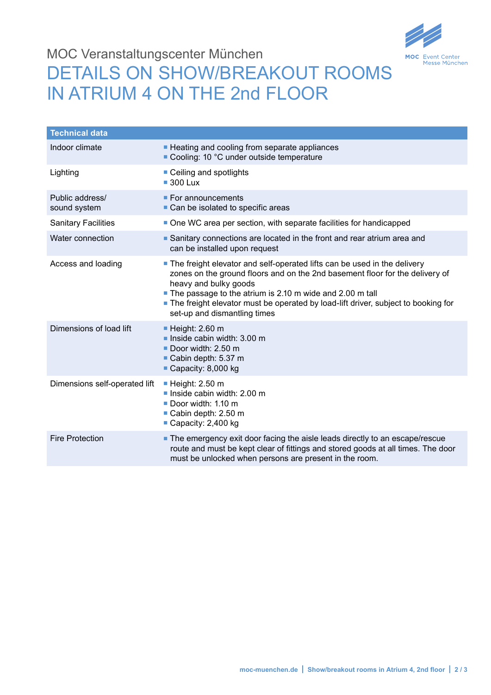

## MOC Veranstaltungscenter München DETAILS ON SHOW/BREAKOUT ROOMS IN ATRIUM 4 ON THE 2nd FLOOR

| <b>Technical data</b>           |                                                                                                                                                                                                                                                                                                                                                                    |
|---------------------------------|--------------------------------------------------------------------------------------------------------------------------------------------------------------------------------------------------------------------------------------------------------------------------------------------------------------------------------------------------------------------|
| Indoor climate                  | - Heating and cooling from separate appliances<br>■ Cooling: 10 °C under outside temperature                                                                                                                                                                                                                                                                       |
| Lighting                        | • Ceiling and spotlights<br>$\blacksquare$ 300 Lux                                                                                                                                                                                                                                                                                                                 |
| Public address/<br>sound system | $\blacksquare$ For announcements<br>• Can be isolated to specific areas                                                                                                                                                                                                                                                                                            |
| <b>Sanitary Facilities</b>      | One WC area per section, with separate facilities for handicapped                                                                                                                                                                                                                                                                                                  |
| Water connection                | Sanitary connections are located in the front and rear atrium area and<br>can be installed upon request                                                                                                                                                                                                                                                            |
| Access and loading              | The freight elevator and self-operated lifts can be used in the delivery<br>zones on the ground floors and on the 2nd basement floor for the delivery of<br>heavy and bulky goods<br>The passage to the atrium is 2.10 m wide and 2.00 m tall<br>The freight elevator must be operated by load-lift driver, subject to booking for<br>set-up and dismantling times |
| Dimensions of load lift         | $\blacksquare$ Height: 2.60 m<br>Inside cabin width: $3.00 \text{ m}$<br>Door width: 2.50 m<br>Cabin depth: 5.37 m<br>Capacity: 8,000 kg                                                                                                                                                                                                                           |
| Dimensions self-operated lift   | $\blacksquare$ Height: 2.50 m<br>Inside cabin width: $2.00 \text{ m}$<br>Door width: 1.10 m<br>Cabin depth: 2.50 m<br>Capacity: $2,400$ kg                                                                                                                                                                                                                         |
| <b>Fire Protection</b>          | The emergency exit door facing the aisle leads directly to an escape/rescue<br>route and must be kept clear of fittings and stored goods at all times. The door<br>must be unlocked when persons are present in the room.                                                                                                                                          |